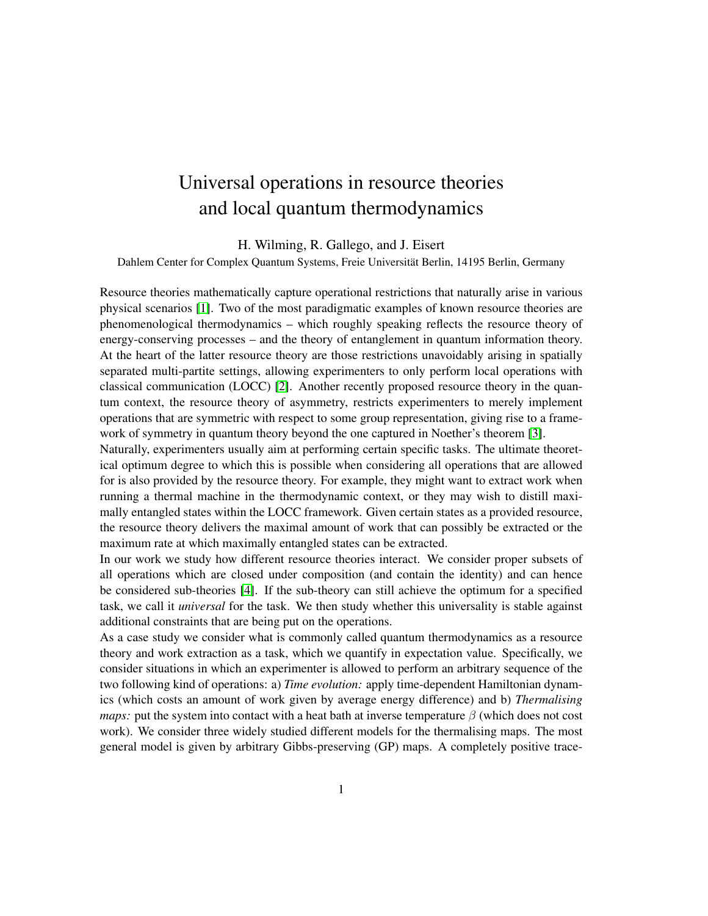## Universal operations in resource theories and local quantum thermodynamics

H. Wilming, R. Gallego, and J. Eisert

Dahlem Center for Complex Quantum Systems, Freie Universität Berlin, 14195 Berlin, Germany

Resource theories mathematically capture operational restrictions that naturally arise in various physical scenarios [\[1\]](#page-2-0). Two of the most paradigmatic examples of known resource theories are phenomenological thermodynamics – which roughly speaking reflects the resource theory of energy-conserving processes – and the theory of entanglement in quantum information theory. At the heart of the latter resource theory are those restrictions unavoidably arising in spatially separated multi-partite settings, allowing experimenters to only perform local operations with classical communication (LOCC) [\[2\]](#page-2-1). Another recently proposed resource theory in the quantum context, the resource theory of asymmetry, restricts experimenters to merely implement operations that are symmetric with respect to some group representation, giving rise to a framework of symmetry in quantum theory beyond the one captured in Noether's theorem [\[3\]](#page-2-2).

Naturally, experimenters usually aim at performing certain specific tasks. The ultimate theoretical optimum degree to which this is possible when considering all operations that are allowed for is also provided by the resource theory. For example, they might want to extract work when running a thermal machine in the thermodynamic context, or they may wish to distill maximally entangled states within the LOCC framework. Given certain states as a provided resource, the resource theory delivers the maximal amount of work that can possibly be extracted or the maximum rate at which maximally entangled states can be extracted.

In our work we study how different resource theories interact. We consider proper subsets of all operations which are closed under composition (and contain the identity) and can hence be considered sub-theories [\[4\]](#page-3-0). If the sub-theory can still achieve the optimum for a specified task, we call it *universal* for the task. We then study whether this universality is stable against additional constraints that are being put on the operations.

As a case study we consider what is commonly called quantum thermodynamics as a resource theory and work extraction as a task, which we quantify in expectation value. Specifically, we consider situations in which an experimenter is allowed to perform an arbitrary sequence of the two following kind of operations: a) *Time evolution:* apply time-dependent Hamiltonian dynamics (which costs an amount of work given by average energy difference) and b) *Thermalising maps:* put the system into contact with a heat bath at inverse temperature  $\beta$  (which does not cost work). We consider three widely studied different models for the thermalising maps. The most general model is given by arbitrary Gibbs-preserving (GP) maps. A completely positive trace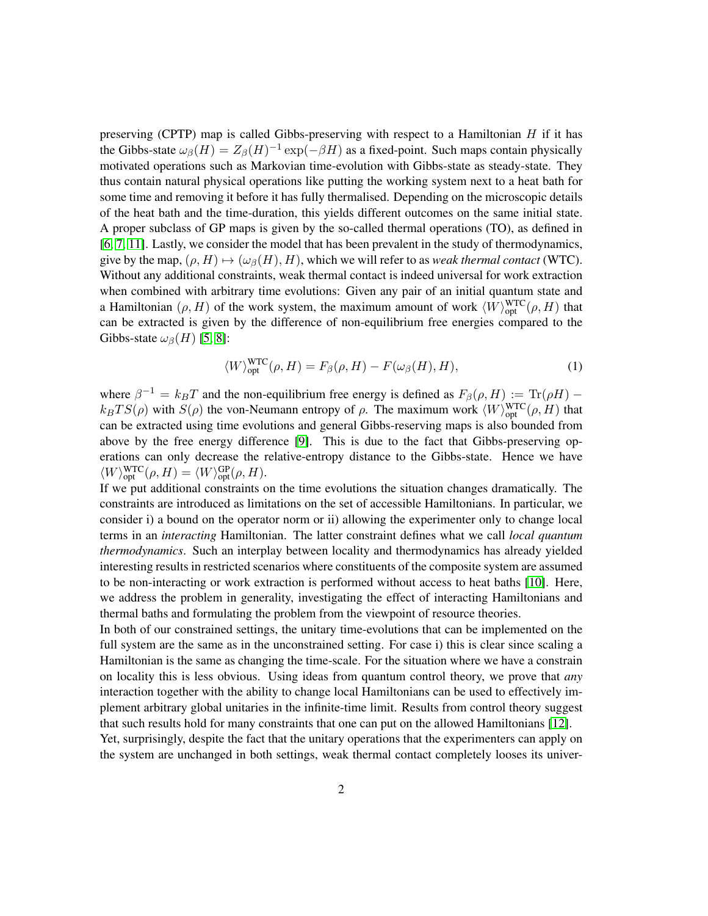preserving (CPTP) map is called Gibbs-preserving with respect to a Hamiltonian  $H$  if it has the Gibbs-state  $\omega_{\beta}(H) = Z_{\beta}(H)^{-1} \exp(-\beta H)$  as a fixed-point. Such maps contain physically motivated operations such as Markovian time-evolution with Gibbs-state as steady-state. They thus contain natural physical operations like putting the working system next to a heat bath for some time and removing it before it has fully thermalised. Depending on the microscopic details of the heat bath and the time-duration, this yields different outcomes on the same initial state. A proper subclass of GP maps is given by the so-called thermal operations (TO), as defined in [\[6,](#page-3-1) [7,](#page-3-2) [11\]](#page-3-3). Lastly, we consider the model that has been prevalent in the study of thermodynamics, give by the map,  $(\rho, H) \mapsto (\omega_{\beta}(H), H)$ , which we will refer to as *weak thermal contact* (WTC). Without any additional constraints, weak thermal contact is indeed universal for work extraction when combined with arbitrary time evolutions: Given any pair of an initial quantum state and a Hamiltonian  $(\rho, H)$  of the work system, the maximum amount of work  $\langle W\rangle_{\text{opt}}^{\text{WTC}}(\rho, H)$  that can be extracted is given by the difference of non-equilibrium free energies compared to the Gibbs-state  $\omega_\beta(H)$  [\[5,](#page-3-4) [8\]](#page-3-5):

$$
\langle W \rangle_{\text{opt}}^{\text{WTC}}(\rho, H) = F_{\beta}(\rho, H) - F(\omega_{\beta}(H), H), \tag{1}
$$

where  $\beta^{-1} = k_B T$  and the non-equilibrium free energy is defined as  $F_\beta(\rho, H) := \text{Tr}(\rho H)$  $k_B T S(\rho)$  with  $S(\rho)$  the von-Neumann entropy of  $\rho$ . The maximum work  $\langle W\rangle_{\text{opt}}^{\text{WTC}}(\rho, H)$  that can be extracted using time evolutions and general Gibbs-reserving maps is also bounded from above by the free energy difference [\[9\]](#page-3-6). This is due to the fact that Gibbs-preserving operations can only decrease the relative-entropy distance to the Gibbs-state. Hence we have  $\langle W\rangle_{\text{opt}}^{\text{WTC}}(\rho, H) = \langle W\rangle_{\text{opt}}^{\text{GP}}(\rho, H).$ 

If we put additional constraints on the time evolutions the situation changes dramatically. The constraints are introduced as limitations on the set of accessible Hamiltonians. In particular, we consider i) a bound on the operator norm or ii) allowing the experimenter only to change local terms in an *interacting* Hamiltonian. The latter constraint defines what we call *local quantum thermodynamics*. Such an interplay between locality and thermodynamics has already yielded interesting results in restricted scenarios where constituents of the composite system are assumed to be non-interacting or work extraction is performed without access to heat baths [\[10\]](#page-3-7). Here, we address the problem in generality, investigating the effect of interacting Hamiltonians and thermal baths and formulating the problem from the viewpoint of resource theories.

In both of our constrained settings, the unitary time-evolutions that can be implemented on the full system are the same as in the unconstrained setting. For case i) this is clear since scaling a Hamiltonian is the same as changing the time-scale. For the situation where we have a constrain on locality this is less obvious. Using ideas from quantum control theory, we prove that *any* interaction together with the ability to change local Hamiltonians can be used to effectively implement arbitrary global unitaries in the infinite-time limit. Results from control theory suggest that such results hold for many constraints that one can put on the allowed Hamiltonians [\[12\]](#page-3-8). Yet, surprisingly, despite the fact that the unitary operations that the experimenters can apply on

the system are unchanged in both settings, weak thermal contact completely looses its univer-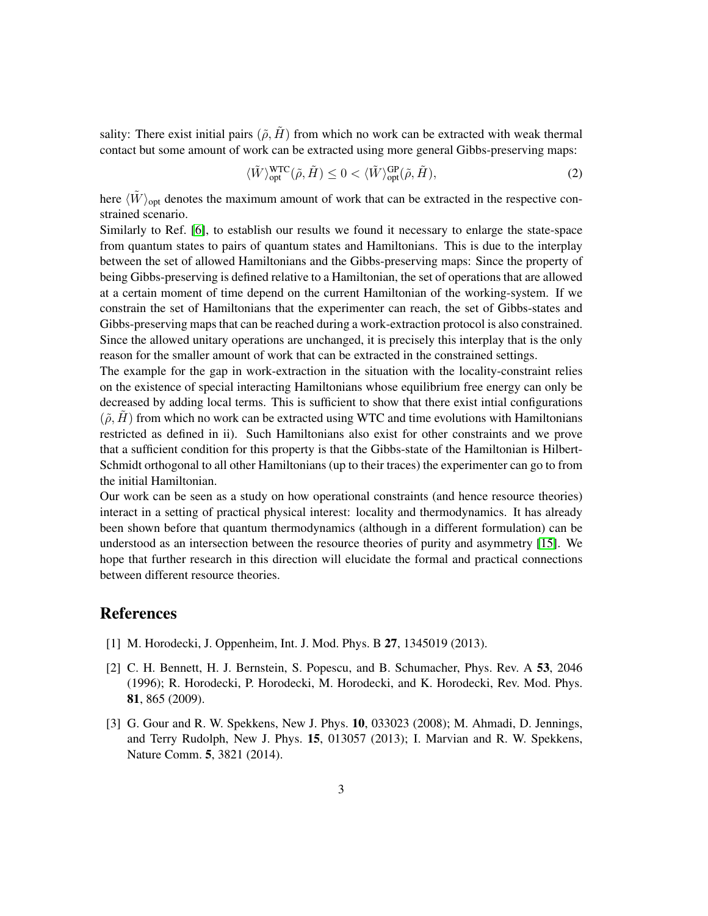sality: There exist initial pairs  $(\tilde{\rho}, \tilde{H})$  from which no work can be extracted with weak thermal contact but some amount of work can be extracted using more general Gibbs-preserving maps:

$$
\langle \tilde{W} \rangle_{\text{opt}}^{\text{WTC}}(\tilde{\rho}, \tilde{H}) \le 0 < \langle \tilde{W} \rangle_{\text{opt}}^{\text{GP}}(\tilde{\rho}, \tilde{H}), \tag{2}
$$

here  $\langle \tilde{W} \rangle_{\text{opt}}$  denotes the maximum amount of work that can be extracted in the respective constrained scenario.

Similarly to Ref. [\[6\]](#page-3-1), to establish our results we found it necessary to enlarge the state-space from quantum states to pairs of quantum states and Hamiltonians. This is due to the interplay between the set of allowed Hamiltonians and the Gibbs-preserving maps: Since the property of being Gibbs-preserving is defined relative to a Hamiltonian, the set of operations that are allowed at a certain moment of time depend on the current Hamiltonian of the working-system. If we constrain the set of Hamiltonians that the experimenter can reach, the set of Gibbs-states and Gibbs-preserving maps that can be reached during a work-extraction protocol is also constrained. Since the allowed unitary operations are unchanged, it is precisely this interplay that is the only reason for the smaller amount of work that can be extracted in the constrained settings.

The example for the gap in work-extraction in the situation with the locality-constraint relies on the existence of special interacting Hamiltonians whose equilibrium free energy can only be decreased by adding local terms. This is sufficient to show that there exist intial configurations  $(\tilde{\rho}, H)$  from which no work can be extracted using WTC and time evolutions with Hamiltonians restricted as defined in ii). Such Hamiltonians also exist for other constraints and we prove that a sufficient condition for this property is that the Gibbs-state of the Hamiltonian is Hilbert-Schmidt orthogonal to all other Hamiltonians (up to their traces) the experimenter can go to from the initial Hamiltonian.

Our work can be seen as a study on how operational constraints (and hence resource theories) interact in a setting of practical physical interest: locality and thermodynamics. It has already been shown before that quantum thermodynamics (although in a different formulation) can be understood as an intersection between the resource theories of purity and asymmetry [\[15\]](#page-3-9). We hope that further research in this direction will elucidate the formal and practical connections between different resource theories.

## References

- <span id="page-2-0"></span>[1] M. Horodecki, J. Oppenheim, Int. J. Mod. Phys. B 27, 1345019 (2013).
- <span id="page-2-1"></span>[2] C. H. Bennett, H. J. Bernstein, S. Popescu, and B. Schumacher, Phys. Rev. A 53, 2046 (1996); R. Horodecki, P. Horodecki, M. Horodecki, and K. Horodecki, Rev. Mod. Phys. 81, 865 (2009).
- <span id="page-2-2"></span>[3] G. Gour and R. W. Spekkens, New J. Phys. 10, 033023 (2008); M. Ahmadi, D. Jennings, and Terry Rudolph, New J. Phys. 15, 013057 (2013); I. Marvian and R. W. Spekkens, Nature Comm. 5, 3821 (2014).